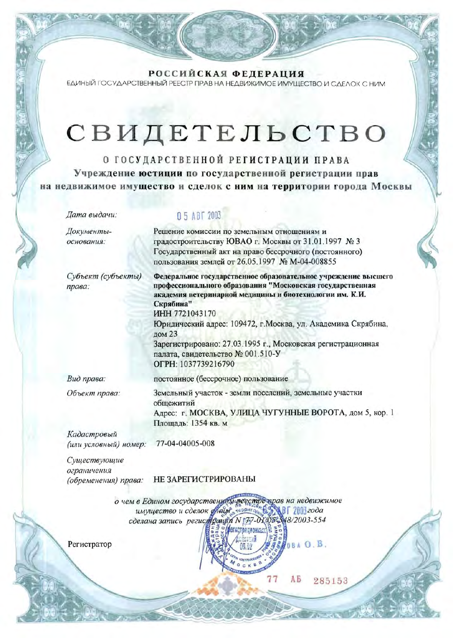РОССИЙСКАЯ ФЕДЕРАЦИЯ ЕДИНЫЙ ГОСУДАРСТВЕННЫЙ РЕЕСТР ПРАВ НА НЕДВИЖИМОЕ ИМУЩЕСТВО И СДЕЛОК С НИМ

# СВИДЕТЕЛЬСТВО

О ГОСУДАРСТВЕННОЙ РЕГИСТРАЦИИ ПРАВА Учреждение юстиции по государственной регистрации прав на недвижимое имущество и сделок с ним на территории города Москвы

Дата выдачи:

Документыоснования:

Субъект (субъекты) права:

### 05 ABT 2003

Решение комиссии по земельным отношениям и градостроительству ЮВАО г. Москвы от 31.01.1997 № 3 Государственный акт на право бессрочного (постоянного) пользования землей от 26.05.1997 № М-04-008855

Федеральное государственное образовательное учреждение высшего профессионального образования "Московская государственная академия ветеринарной медицины и биотехнологии им. К.И. Скрябина" ИНН 7721043170 Юридический адрес: 109472, г. Москва, ул. Академика Скрябина,

дом 23 Зарегистрировано: 27.03.1995 г., Московская регистрационная палата, свидетельство № 001.510-У OFPH: 1037739216790

Вид права:

Объект права:

постоянное (бессрочное) пользование Земельный участок - земли поселений, земельные участки общежитий

Адрес: г. МОСКВА, УЛИЦА ЧУГУННЫЕ ВОРОТА, дом 5, кор. 1 Площадь: 1354 кв. м

Кадастровый 77-04-04005-008 (или условный) номер:

Существующие ограничения (обременения) права:

НЕ ЗАРЕГИСТРИРОВАНЫ

о чем в Едином государствение муревстремрав на недвижимое<br>имущество и сделок слады, серитор, 4,5, 81 2003 года сделана запись регистрации N 177-01 05-548/2003-554 **Легистоационната** 

 $Q \cap K$  B

Регистратор

AБ 285153

08 A O.B.